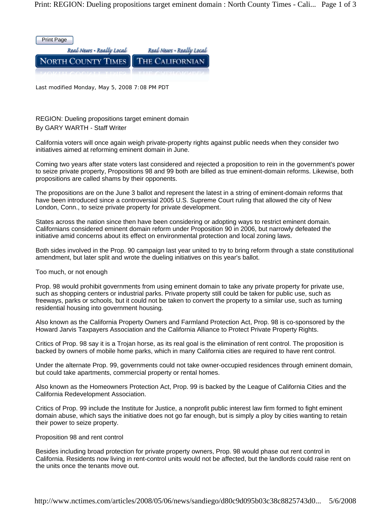

Last modified Monday, May 5, 2008 7:08 PM PDT

REGION: Dueling propositions target eminent domain By GARY WARTH - Staff Writer

California voters will once again weigh private-property rights against public needs when they consider two initiatives aimed at reforming eminent domain in June.

Coming two years after state voters last considered and rejected a proposition to rein in the government's power to seize private property, Propositions 98 and 99 both are billed as true eminent-domain reforms. Likewise, both propositions are called shams by their opponents.

The propositions are on the June 3 ballot and represent the latest in a string of eminent-domain reforms that have been introduced since a controversial 2005 U.S. Supreme Court ruling that allowed the city of New London, Conn., to seize private property for private development.

States across the nation since then have been considering or adopting ways to restrict eminent domain. Californians considered eminent domain reform under Proposition 90 in 2006, but narrowly defeated the initiative amid concerns about its effect on environmental protection and local zoning laws.

Both sides involved in the Prop. 90 campaign last year united to try to bring reform through a state constitutional amendment, but later split and wrote the dueling initiatives on this year's ballot.

Too much, or not enough

Prop. 98 would prohibit governments from using eminent domain to take any private property for private use, such as shopping centers or industrial parks. Private property still could be taken for public use, such as freeways, parks or schools, but it could not be taken to convert the property to a similar use, such as turning residential housing into government housing.

Also known as the California Property Owners and Farmland Protection Act, Prop. 98 is co-sponsored by the Howard Jarvis Taxpayers Association and the California Alliance to Protect Private Property Rights.

Critics of Prop. 98 say it is a Trojan horse, as its real goal is the elimination of rent control. The proposition is backed by owners of mobile home parks, which in many California cities are required to have rent control.

Under the alternate Prop. 99, governments could not take owner-occupied residences through eminent domain, but could take apartments, commercial property or rental homes.

Also known as the Homeowners Protection Act, Prop. 99 is backed by the League of California Cities and the California Redevelopment Association.

Critics of Prop. 99 include the Institute for Justice, a nonprofit public interest law firm formed to fight eminent domain abuse, which says the initiative does not go far enough, but is simply a ploy by cities wanting to retain their power to seize property.

## Proposition 98 and rent control

Besides including broad protection for private property owners, Prop. 98 would phase out rent control in California. Residents now living in rent-control units would not be affected, but the landlords could raise rent on the units once the tenants move out.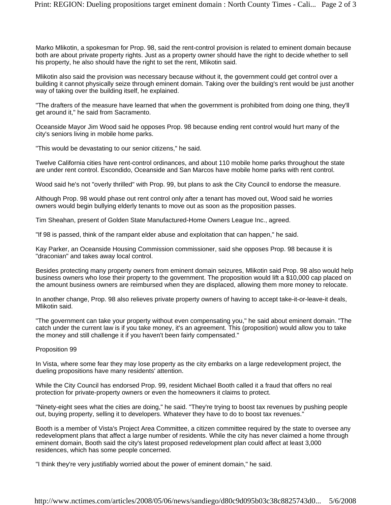Marko Mlikotin, a spokesman for Prop. 98, said the rent-control provision is related to eminent domain because both are about private property rights. Just as a property owner should have the right to decide whether to sell his property, he also should have the right to set the rent, Mlikotin said.

Mlikotin also said the provision was necessary because without it, the government could get control over a building it cannot physically seize through eminent domain. Taking over the building's rent would be just another way of taking over the building itself, he explained.

"The drafters of the measure have learned that when the government is prohibited from doing one thing, they'll get around it," he said from Sacramento.

Oceanside Mayor Jim Wood said he opposes Prop. 98 because ending rent control would hurt many of the city's seniors living in mobile home parks.

"This would be devastating to our senior citizens," he said.

Twelve California cities have rent-control ordinances, and about 110 mobile home parks throughout the state are under rent control. Escondido, Oceanside and San Marcos have mobile home parks with rent control.

Wood said he's not "overly thrilled" with Prop. 99, but plans to ask the City Council to endorse the measure.

Although Prop. 98 would phase out rent control only after a tenant has moved out, Wood said he worries owners would begin bullying elderly tenants to move out as soon as the proposition passes.

Tim Sheahan, present of Golden State Manufactured-Home Owners League Inc., agreed.

"If 98 is passed, think of the rampant elder abuse and exploitation that can happen," he said.

Kay Parker, an Oceanside Housing Commission commissioner, said she opposes Prop. 98 because it is "draconian" and takes away local control.

Besides protecting many property owners from eminent domain seizures, Mlikotin said Prop. 98 also would help business owners who lose their property to the government. The proposition would lift a \$10,000 cap placed on the amount business owners are reimbursed when they are displaced, allowing them more money to relocate.

In another change, Prop. 98 also relieves private property owners of having to accept take-it-or-leave-it deals, Mlikotin said.

"The government can take your property without even compensating you," he said about eminent domain. "The catch under the current law is if you take money, it's an agreement. This (proposition) would allow you to take the money and still challenge it if you haven't been fairly compensated."

## Proposition 99

In Vista, where some fear they may lose property as the city embarks on a large redevelopment project, the dueling propositions have many residents' attention.

While the City Council has endorsed Prop. 99, resident Michael Booth called it a fraud that offers no real protection for private-property owners or even the homeowners it claims to protect.

"Ninety-eight sees what the cities are doing," he said. "They're trying to boost tax revenues by pushing people out, buying property, selling it to developers. Whatever they have to do to boost tax revenues."

Booth is a member of Vista's Project Area Committee, a citizen committee required by the state to oversee any redevelopment plans that affect a large number of residents. While the city has never claimed a home through eminent domain, Booth said the city's latest proposed redevelopment plan could affect at least 3,000 residences, which has some people concerned.

"I think they're very justifiably worried about the power of eminent domain," he said.